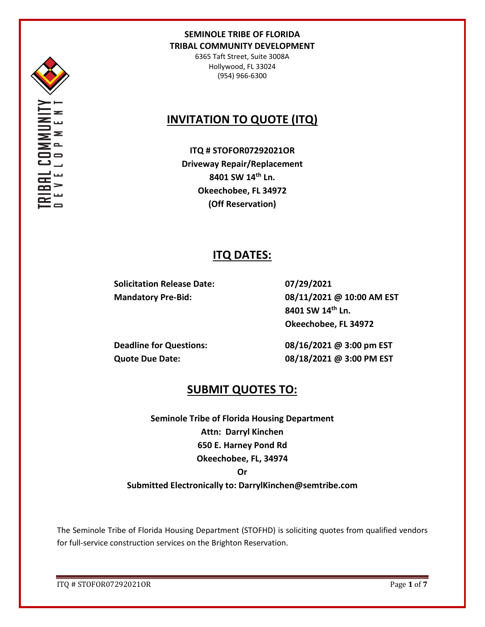

6365 Taft Street, Suite 3008A Hollywood, FL 33024 (954) 966-6300

# **INVITATION TO QUOTE (ITQ)**

**ITQ # STOFOR07292021OR Driveway Repair/Replacement 8401 SW 14th Ln. Okeechobee, FL 34972 (Off Reservation)**

## **ITQ DATES:**

**Solicitation Release Date: 07/29/2021**

**Mandatory Pre-Bid: 08/11/2021 @ 10:00 AM EST 8401 SW 14th Ln. Okeechobee, FL 34972**

**Deadline for Questions: 08/16/2021 @ 3:00 pm EST Quote Due Date: 08/18/2021 @ 3:00 PM EST**

## **SUBMIT QUOTES TO:**

**Seminole Tribe of Florida Housing Department Attn: Darryl Kinchen 650 E. Harney Pond Rd Okeechobee, FL, 34974 Or** 

**Submitted Electronically to: DarrylKinchen@semtribe.com**

The Seminole Tribe of Florida Housing Department (STOFHD) is soliciting quotes from qualified vendors for full-service construction services on the Brighton Reservation.

ITQ # STOFOR07292021OR Page **1** of **7**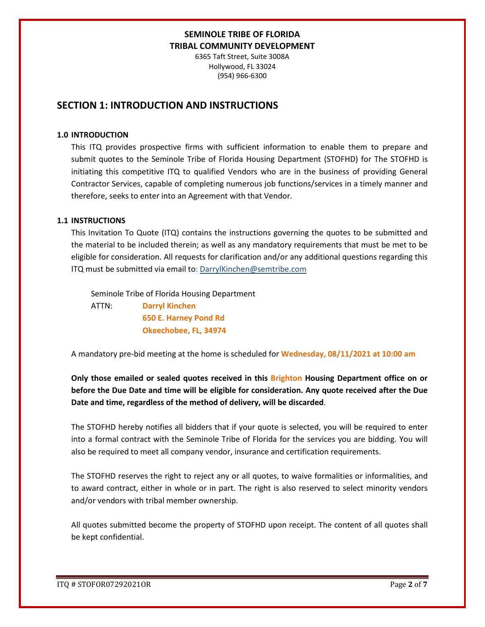6365 Taft Street, Suite 3008A Hollywood, FL 33024 (954) 966-6300

## **SECTION 1: INTRODUCTION AND INSTRUCTIONS**

### **1.0 INTRODUCTION**

This ITQ provides prospective firms with sufficient information to enable them to prepare and submit quotes to the Seminole Tribe of Florida Housing Department (STOFHD) for The STOFHD is initiating this competitive ITQ to qualified Vendors who are in the business of providing General Contractor Services, capable of completing numerous job functions/services in a timely manner and therefore, seeks to enter into an Agreement with that Vendor.

### **1.1 INSTRUCTIONS**

This Invitation To Quote (ITQ) contains the instructions governing the quotes to be submitted and the material to be included therein; as well as any mandatory requirements that must be met to be eligible for consideration. All requests for clarification and/or any additional questions regarding this ITQ must be submitted via email to: DarrylKinchen@semtribe.com

 Seminole Tribe of Florida Housing Department ATTN: **Darryl Kinchen**

 **650 E. Harney Pond Rd Okeechobee, FL, 34974**

A mandatory pre-bid meeting at the home is scheduled for **Wednesday, 08/11/2021 at 10:00 am**

**Only those emailed or sealed quotes received in this Brighton Housing Department office on or before the Due Date and time will be eligible for consideration. Any quote received after the Due Date and time, regardless of the method of delivery, will be discarded**.

The STOFHD hereby notifies all bidders that if your quote is selected, you will be required to enter into a formal contract with the Seminole Tribe of Florida for the services you are bidding. You will also be required to meet all company vendor, insurance and certification requirements.

The STOFHD reserves the right to reject any or all quotes, to waive formalities or informalities, and to award contract, either in whole or in part. The right is also reserved to select minority vendors and/or vendors with tribal member ownership.

All quotes submitted become the property of STOFHD upon receipt. The content of all quotes shall be kept confidential.

ITQ # STOFOR07292021OR Page **2** of **7**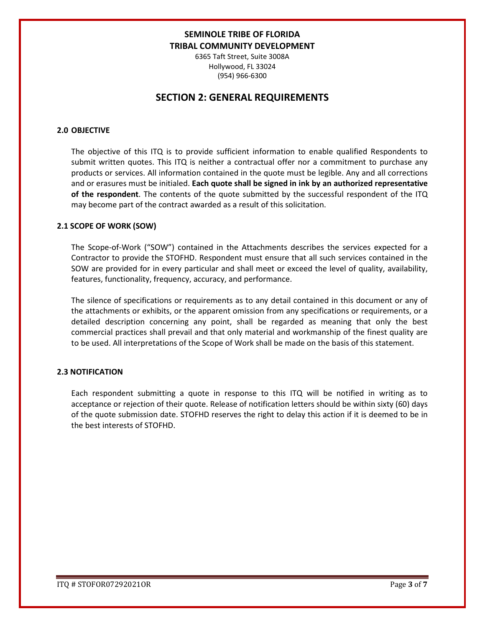6365 Taft Street, Suite 3008A Hollywood, FL 33024 (954) 966-6300

## **SECTION 2: GENERAL REQUIREMENTS**

### **2.0 OBJECTIVE**

The objective of this ITQ is to provide sufficient information to enable qualified Respondents to submit written quotes. This ITQ is neither a contractual offer nor a commitment to purchase any products or services. All information contained in the quote must be legible. Any and all corrections and or erasures must be initialed. **Each quote shall be signed in ink by an authorized representative of the respondent**. The contents of the quote submitted by the successful respondent of the ITQ may become part of the contract awarded as a result of this solicitation.

#### **2.1 SCOPE OF WORK (SOW)**

The Scope-of-Work ("SOW") contained in the Attachments describes the services expected for a Contractor to provide the STOFHD. Respondent must ensure that all such services contained in the SOW are provided for in every particular and shall meet or exceed the level of quality, availability, features, functionality, frequency, accuracy, and performance.

The silence of specifications or requirements as to any detail contained in this document or any of the attachments or exhibits, or the apparent omission from any specifications or requirements, or a detailed description concerning any point, shall be regarded as meaning that only the best commercial practices shall prevail and that only material and workmanship of the finest quality are to be used. All interpretations of the Scope of Work shall be made on the basis of this statement.

#### **2.3 NOTIFICATION**

Each respondent submitting a quote in response to this ITQ will be notified in writing as to acceptance or rejection of their quote. Release of notification letters should be within sixty (60) days of the quote submission date. STOFHD reserves the right to delay this action if it is deemed to be in the best interests of STOFHD.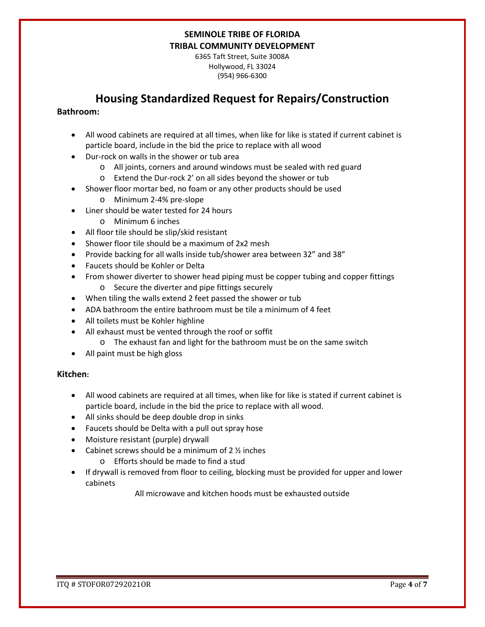6365 Taft Street, Suite 3008A Hollywood, FL 33024 (954) 966-6300

## **Housing Standardized Request for Repairs/Construction**

### **Bathroom:**

- All wood cabinets are required at all times, when like for like is stated if current cabinet is particle board, include in the bid the price to replace with all wood
- Dur-rock on walls in the shower or tub area
	- o All joints, corners and around windows must be sealed with red guard
	- o Extend the Dur-rock 2' on all sides beyond the shower or tub
- Shower floor mortar bed, no foam or any other products should be used
	- o Minimum 2-4% pre-slope
- Liner should be water tested for 24 hours
	- o Minimum 6 inches
- All floor tile should be slip/skid resistant
- Shower floor tile should be a maximum of 2x2 mesh
- Provide backing for all walls inside tub/shower area between 32" and 38"
- Faucets should be Kohler or Delta
- From shower diverter to shower head piping must be copper tubing and copper fittings o Secure the diverter and pipe fittings securely
- When tiling the walls extend 2 feet passed the shower or tub
- ADA bathroom the entire bathroom must be tile a minimum of 4 feet
- All toilets must be Kohler highline
- All exhaust must be vented through the roof or soffit
	- o The exhaust fan and light for the bathroom must be on the same switch
- All paint must be high gloss

### **Kitchen:**

- All wood cabinets are required at all times, when like for like is stated if current cabinet is particle board, include in the bid the price to replace with all wood.
- All sinks should be deep double drop in sinks
- Faucets should be Delta with a pull out spray hose
- Moisture resistant (purple) drywall
- Cabinet screws should be a minimum of  $2 \frac{1}{2}$  inches
	- o Efforts should be made to find a stud
- If drywall is removed from floor to ceiling, blocking must be provided for upper and lower cabinets

All microwave and kitchen hoods must be exhausted outside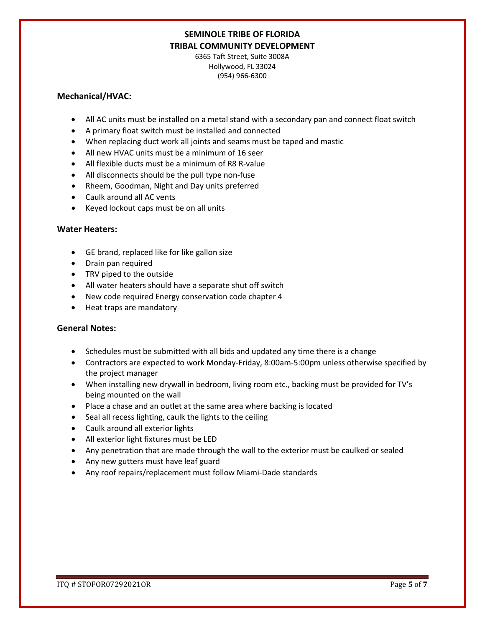6365 Taft Street, Suite 3008A Hollywood, FL 33024 (954) 966-6300

### **Mechanical/HVAC:**

- All AC units must be installed on a metal stand with a secondary pan and connect float switch
- A primary float switch must be installed and connected
- When replacing duct work all joints and seams must be taped and mastic
- All new HVAC units must be a minimum of 16 seer
- All flexible ducts must be a minimum of R8 R-value
- All disconnects should be the pull type non-fuse
- Rheem, Goodman, Night and Day units preferred
- Caulk around all AC vents
- Keyed lockout caps must be on all units

### **Water Heaters:**

- GE brand, replaced like for like gallon size
- Drain pan required
- TRV piped to the outside
- All water heaters should have a separate shut off switch
- New code required Energy conservation code chapter 4
- Heat traps are mandatory

### **General Notes:**

- Schedules must be submitted with all bids and updated any time there is a change
- Contractors are expected to work Monday-Friday, 8:00am-5:00pm unless otherwise specified by the project manager
- When installing new drywall in bedroom, living room etc., backing must be provided for TV's being mounted on the wall
- Place a chase and an outlet at the same area where backing is located
- Seal all recess lighting, caulk the lights to the ceiling
- Caulk around all exterior lights
- All exterior light fixtures must be LED
- Any penetration that are made through the wall to the exterior must be caulked or sealed
- Any new gutters must have leaf guard
- Any roof repairs/replacement must follow Miami-Dade standards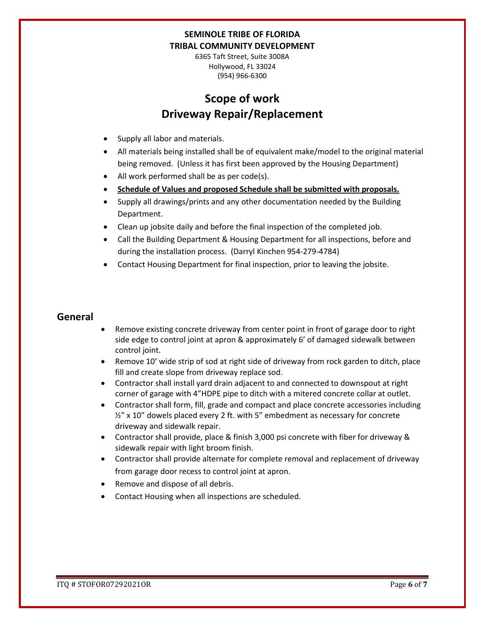6365 Taft Street, Suite 3008A Hollywood, FL 33024 (954) 966-6300

# **Scope of work Driveway Repair/Replacement**

- Supply all labor and materials.
- All materials being installed shall be of equivalent make/model to the original material being removed. (Unless it has first been approved by the Housing Department)
- All work performed shall be as per code(s).
- **Schedule of Values and proposed Schedule shall be submitted with proposals.**
- Supply all drawings/prints and any other documentation needed by the Building Department.
- Clean up jobsite daily and before the final inspection of the completed job.
- Call the Building Department & Housing Department for all inspections, before and during the installation process. (Darryl Kinchen 954-279-4784)
- Contact Housing Department for final inspection, prior to leaving the jobsite.

## **General**

- Remove existing concrete driveway from center point in front of garage door to right side edge to control joint at apron & approximately 6' of damaged sidewalk between control joint.
- Remove 10' wide strip of sod at right side of driveway from rock garden to ditch, place fill and create slope from driveway replace sod.
- Contractor shall install yard drain adjacent to and connected to downspout at right corner of garage with 4"HDPE pipe to ditch with a mitered concrete collar at outlet.
- Contractor shall form, fill, grade and compact and place concrete accessories including ½" x 10" dowels placed every 2 ft. with 5" embedment as necessary for concrete driveway and sidewalk repair.
- Contractor shall provide, place & finish 3,000 psi concrete with fiber for driveway & sidewalk repair with light broom finish.
- Contractor shall provide alternate for complete removal and replacement of driveway from garage door recess to control joint at apron.
- Remove and dispose of all debris.
- Contact Housing when all inspections are scheduled.